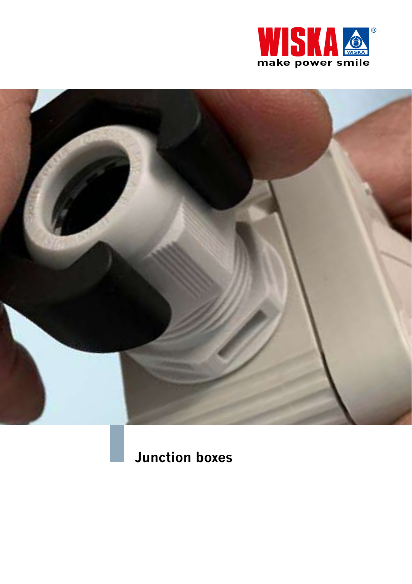



**Junction boxes**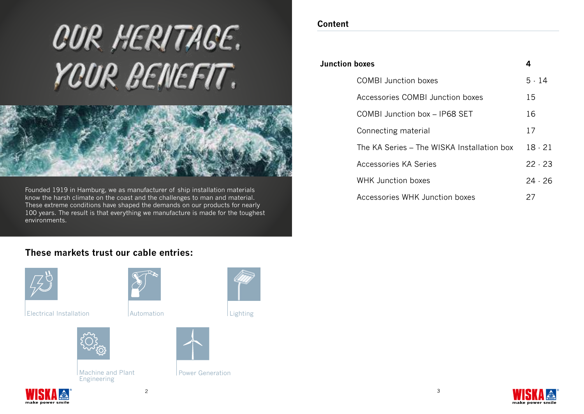# **CUR HERITAGE.** YOUR BENEFIT.



Founded 1919 in Hamburg, we as manufacturer of ship installation materials know the harsh climate on the coast and the challenges to man and material. These extreme conditions have shaped the demands on our products for nearly 100 years. The result is that everything we manufacture is made for the toughest environments.

# **Content**

| <b>Junction boxes</b> |                                            | 4         |
|-----------------------|--------------------------------------------|-----------|
|                       | COMBI Junction boxes                       | 5.14      |
|                       | Accessories COMBI Junction boxes           | 15        |
|                       | COMBI Junction box - IP68 SET              | 16        |
|                       | Connecting material                        | 17        |
|                       | The KA Series - The WISKA Installation box | $18 - 21$ |
|                       | Accessories KA Series                      | $22 - 23$ |
|                       | <b>WHK Junction boxes</b>                  | 24 - 26   |
|                       | Accessories WHK Junction boxes             | 27        |
|                       |                                            |           |

# **These markets trust our cable entries:**



make nower smil

 $E$  Electrical Installation  $\Delta$ 



Machine and Plant Power Generation Engineering







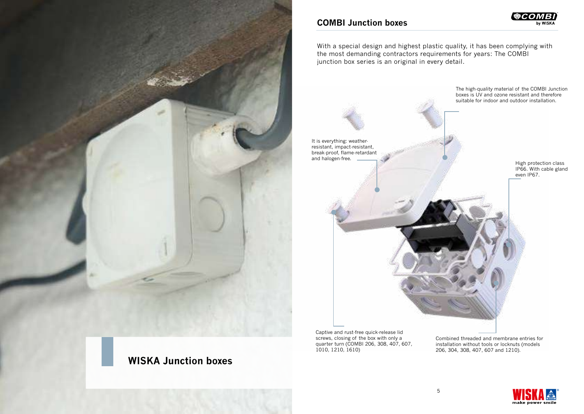

# **WISKA Junction boxes**

## **COMBI Junction boxes**

® by WISKA

With a special design and highest plastic quality, it has been complying with the most demanding contractors requirements for years: The COMBI junction box series is an original in every detail.



Captive and rust-free quick-release lid screws, closing of the box with only a quarter turn (COMBI 206, 308, 407, 607, 1010, 1210, 1610)

Combined threaded and membrane entries for installation without tools or locknuts (models 206, 304, 308, 407, 607 and 1210).

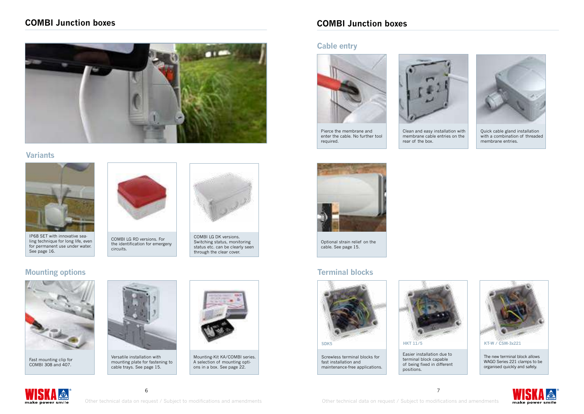# **COMBI Junction boxes**



#### **Variants**



IP68 SET with innovative sealing technique for long life, even for permanent use under water. See page 16.

# **Mounting options**



Fast mounting clip for COMBI 308 and 407.



COMBI LG RD versions. For the identification for emergeny

circuits.

Versatile installation with mounting plate for fastening to cable trays. See page 15.



COMBI LG DK versions. Switching status, monitoring status etc. can be clearly seen through the clear cover.

Mounting-Kit KA/COMBI series. A selection of mounting options in a box. See page 22.

# **COMBI Junction boxes**

#### **Cable entry**



Pierce the membrane and enter the cable. No further tool required.



Clean and easy installation with membrane cable entries on the rear of the box.



Quick cable gland installation with a combination of threaded membrane entries.



Optional strain relief on the cable. See page 15.

# **Terminal blocks**

fast installation and maintenance-free applications.

 $\sim$  6





Easier installation due to terminal block capable of being fixed in different positions.



The new terminal block allows WAGO Series 221 clamps to be organised quickly and safely.



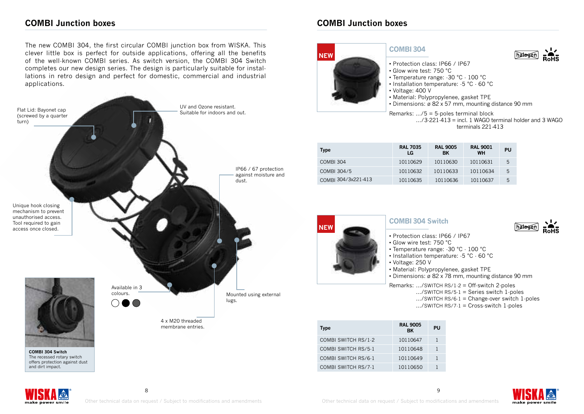# **COMBI Junction boxes COMBI Junction boxes**

The new COMBI 304, the first circular COMBI junction box from WISKA. This clever little box is perfect for outside applications, offering all the benefits of the well-known COMBI series. As switch version, the COMBI 304 Switch completes our new design series. The design is particularly suitable for installations in retro design and perfect for domestic, commercial and industrial applications.





 .../3-221-413 = incl. 1 WAGO terminal holder and 3 WAGO terminals 221-413

| <b>Type</b>         | <b>RAL 7035</b><br>LG | <b>RAL 9005</b><br>BK | <b>RAL 9001</b><br><b>WH</b> | PU |
|---------------------|-----------------------|-----------------------|------------------------------|----|
| COMBI 304           | 10110629              | 10110630              | 10110631                     | 5  |
| COMBI 304/5         | 10110632              | 10110633              | 10110634                     | 5  |
| COMBI 304/3x221-413 | 10110635              | 10110636              | 10110637                     | 5  |



#### **COMBI304 Switch**

- Protection class: IP66 / IP67
- Glow wire test: 750 °C
- Temperature range: -30 °C 100 °C
- Installation temperature: -5 °C 60 °C
- Voltage: 250 V
- Material: Polypropylenee, gasket TPE
- Dimensions: ø 82 x 78 mm, mounting distance 90 mm

Remarks: .../SWITCH RS/1-2 = Off-switch 2-poles

- .../SWITCH RS/5-1 = Series switch 1-poles
- .../SWITCH RS/6-1 = Change-over switch 1-poles

 $...$ /SWITCH RS/7 $\cdot$ 1 = Cross-switch 1 $\cdot$  poles

| Type                | <b>RAL 9005</b><br>ВK | PU |
|---------------------|-----------------------|----|
| COMBI SWITCH RS/1-2 | 10110647              | 1  |
| COMBI SWITCH RS/5-1 | 10110648              | 1  |
| COMBI SWITCH RS/6-1 | 10110649              | 1  |
| COMBI SWITCH RS/7-1 | 10110650              |    |





habana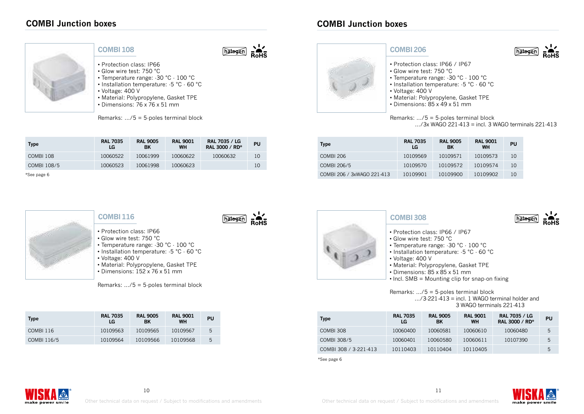

#### **COMBI108**

hatogen

hatogen

- Protection class: IP66
- Glow wire test: 750 °C
- Temperature range: -30 °C 100 °C • Installation temperature: -5 °C - 60 °C
- Voltage: 400 V
- Material: Polypropylene, Gasket TPE
- Dimensions: 76 x 76 x 51 mm

Remarks: .../5 = 5-poles terminal block

| <b>Type</b> | <b>RAL 7035</b><br>LG | <b>RAL 9005</b><br>BK | <b>RAL 9001</b><br><b>WH</b> | RAL 7035 / LG<br>RAL 3000 / RD* | PU |
|-------------|-----------------------|-----------------------|------------------------------|---------------------------------|----|
| COMBI 108   | 10060522              | 10061999              | 10060622                     | 10060632                        | 10 |
| COMBI 108/5 | 10060523              | 10061998              | 10060623                     |                                 | 10 |

\*See page 6



#### **COMBI116**

- Protection class: IP66 • Glow wire test: 750 °C
- Temperature range: -30 °C 100 °C
- Installation temperature: -5 °C 60 °C
- Voltage: 400 V
	- Material: Polypropylene, Gasket TPE
	- $\cdot$  Dimensions: 152 x 76 x 51 mm

Remarks: .../5 = 5-poles terminal block

| <b>Type</b> | <b>RAL 7035</b><br>LG | <b>RAL 9005</b><br>BK | <b>RAL 9001</b><br><b>WH</b> | PU |
|-------------|-----------------------|-----------------------|------------------------------|----|
| COMBI 116   | 10109563              | 10109565              | 10109567                     | 5  |
| COMBI 116/5 | 10109564              | 10109566              | 10109568                     | 5  |



#### **COMBI206**

- Protection class: IP66 / IP67
- Glow wire test: 750 °C
- Temperature range: -30 °C 100 °C
- Installation temperature: -5 °C 60 °C
- Voltage: 400 V
- Material: Polypropylene, Gasket TPE
- Dimensions: 85 x 49 x 51 mm

#### Remarks: .../5 = 5-poles terminal block  $\ldots$ /3x WAGO 221-413 = incl. 3 WAGO terminals 221-413

hateac

hatoger

| <b>Type</b>                | <b>RAL 7035</b><br>LG | <b>RAL 9005</b><br>BK | <b>RAL 9001</b><br><b>WH</b> | PU |
|----------------------------|-----------------------|-----------------------|------------------------------|----|
| <b>COMBI 206</b>           | 10109569              | 10109571              | 10109573                     | 10 |
| COMBI 206/5                | 10109570              | 10109572              | 10109574                     | 10 |
| COMBI 206 / 3xWAGO 221-413 | 10109901              | 10109900              | 10109902                     | 10 |



#### **COMBI308**

- Protection class: IP66 / IP67
- Glow wire test: 750 °C
- Temperature range: -30 °C 100 °C
- Installation temperature: -5 °C 60 °C
- Voltage: 400 V
- Material: Polypropylene, Gasket TPE
- Dimensions: 85 x 85 x 51 mm
- Incl. SMB = Mounting clip for snap-on fixing

Remarks: .../5 = 5-poles terminal block  $\ldots$ /3-221-413 = incl. 1 WAGO terminal holder and 3 WAGO terminals 221-413

| <b>Type</b>           | <b>RAL 7035</b><br>LG. | <b>RAL 9005</b><br>BK | <b>RAL 9001</b><br><b>WH</b> | <b>RAL 7035 / LG</b><br>RAL 3000 / RD* | <b>PU</b> |
|-----------------------|------------------------|-----------------------|------------------------------|----------------------------------------|-----------|
| COMBI 308             | 10060400               | 10060581              | 10060610                     | 10060480                               | 5         |
| COMBI 308/5           | 10060401               | 10060580              | 10060611                     | 10107390                               | 5         |
| COMBI 308 / 3-221-413 | 10110403               | 10110404              | 10110405                     |                                        | 5         |

\*See page 6



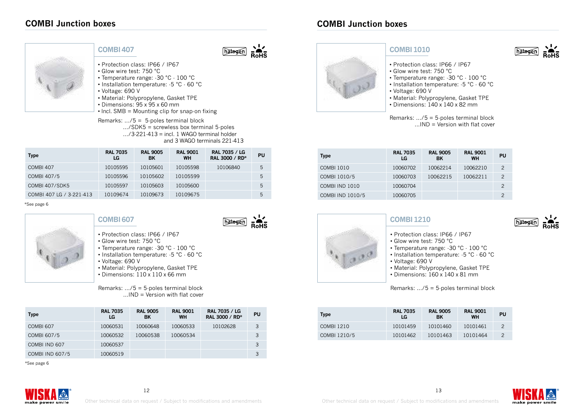

## **COMBI407**

hatogen

- Protection class: IP66 / IP67
- Glow wire test: 750 °C
- Temperature range: -30 °C 100 °C • Installation temperature: -5 °C - 60 °C
- 
- Voltage: 690 V
- Material: Polypropylene, Gasket TPE
- Dimensions: 95 x 95 x 60 mm
- Incl. SMB = Mounting clip for snap-on fixing

Remarks: .../5 = 5-poles terminal block .../SDK5 = screwless box terminal 5-poles  $.../3.221.413 =$  incl. 1 WAGO terminal holder and 3 WAGO terminals 221-413

| <b>Type</b>              | <b>RAL 7035</b><br>LG | <b>RAL 9005</b><br>BK | <b>RAL 9001</b><br><b>WH</b> | <b>RAL 7035 / LG</b><br>RAL 3000 / RD* | PU |
|--------------------------|-----------------------|-----------------------|------------------------------|----------------------------------------|----|
| COMBI <sub>407</sub>     | 10105595              | 10105601              | 10105598                     | 10106840                               | 5  |
| COMBI 407/5              | 10105596              | 10105602              | 10105599                     |                                        | 5  |
| <b>COMBI 407/SDK5</b>    | 10105597              | 10105603              | 10105600                     |                                        | 5  |
| COMBI 407 LG / 3-221-413 | 10109674              | 10109673              | 10109675                     |                                        | 5  |

\*See page 6



# **COMBI607**



- Protection class: IP66 / IP67
- Glow wire test: 750 °C
- Temperature range: -30 °C 100 °C • Installation temperature: -5 °C - 60 °C
- Voltage: 690 V
- Material: Polypropylene, Gasket TPE
- $\cdot$  Dimensions:  $110 \times 110 \times 66$  mm

Remarks: .../5 = 5-poles terminal block  $...$ IND = Version with flat cover

| <b>Type</b>            | <b>RAL 7035</b><br>LG | <b>RAL 9005</b><br>BK | <b>RAL 9001</b><br><b>WH</b> | <b>RAL 7035 / LG</b><br>RAL 3000 / RD* | PU |
|------------------------|-----------------------|-----------------------|------------------------------|----------------------------------------|----|
| COMBI <sub>607</sub>   | 10060531              | 10060648              | 10060533                     | 10102628                               | 3  |
| COMBI 607/5            | 10060532              | 10060538              | 10060534                     |                                        | 3  |
| COMBI IND 607          | 10060537              |                       |                              |                                        | 3  |
| <b>COMBI IND 607/5</b> | 10060519              |                       |                              |                                        |    |

\*See page 6



## **COMBI1010**

- Protection class: IP66 / IP67
- Glow wire test: 750 °C
- Temperature range: -30 °C 100 °C
- Installation temperature: -5 °C 60 °C
- Voltage: 690 V
- Material: Polypropylene, Gasket TPE
- Dimensions: 140 x 140 x 82 mm

Remarks: .../5 = 5-poles terminal block ...IND = Version with flat cover

| <b>Type</b>       | <b>RAL 7035</b><br>LG | <b>RAL 9005</b><br><b>BK</b> | <b>RAL 9001</b><br><b>WH</b> | PU             |
|-------------------|-----------------------|------------------------------|------------------------------|----------------|
| <b>COMBI 1010</b> | 10060702              | 10062214                     | 10062210                     | $\mathcal{P}$  |
| COMBI 1010/5      | 10060703              | 10062215                     | 10062211                     | $\mathfrak{D}$ |
| COMBI IND 1010    | 10060704              |                              |                              | 2              |
| COMBI IND 1010/5  | 10060705              |                              |                              | 2              |



#### **COMBI1210**

- Protection class: IP66 / IP67
- Glow wire test: 750 °C
- Temperature range: -30 °C 100 °C
- Installation temperature: -5 °C 60 °C
- Voltage: 690 V
- Material: Polypropylene, Gasket TPE
- $\cdot$  Dimensions: 160 x 140 x 81 mm

Remarks: .../5 = 5-poles terminal block

| <b>Type</b>  | <b>RAL 7035</b><br>LG | <b>RAL 9005</b><br>BK | <b>RAL 9001</b><br><b>WH</b> | PU |
|--------------|-----------------------|-----------------------|------------------------------|----|
| COMBI 1210   | 10101459              | 10101460              | 10101461                     | 2  |
| COMBI 1210/5 | 10101462              | 10101463              | 10101464                     |    |

make power smile

hatoge

hatoge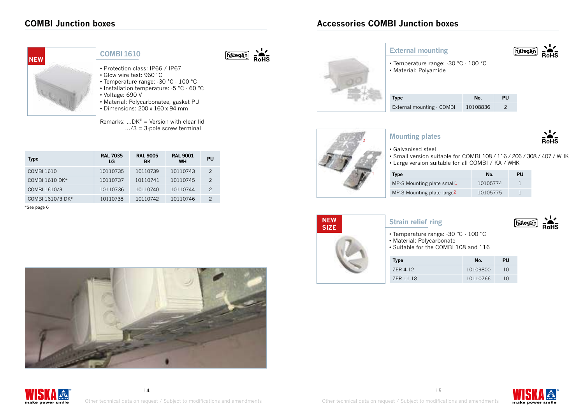# **COMBI Junction boxes**

**Type RAL 7035**



\*See page 6

#### **COMBI1610**

• Voltage: 690 V

**LG**

COMBI 1610 10110735 10110739 10110743 2 COMBI 1610 DK\* 10110737 10110741 10110745 2 COMBI 1610/3 10110736 10110740 10110744 2 COMBI 1610/3 DK\* 10110738 10110742 10110746 2

• Protection class: IP66 / IP67 • Glow wire test: 960 °C

• Temperature range: -30 °C - 100 °C • Installation temperature: -5 °C - 60 °C

• Material: Polycarbonatee, gasket PU • Dimensions: 200 x 160 x 94 mm

Remarks:  $...$ DK $*$  = Version with clear lid  $\ldots$ /3 = 3 pole screw terminal

> **RAL 9005 BK**

**RAL 9001** 

**WH PU**

hatogen



#### **External mounting**



• Temperature range: -30 °C - 100 °C • Material: Polyamide

| Type                      | No.      | РU |
|---------------------------|----------|----|
| External mounting - COMBI | 10108836 |    |



## **Mounting plates**



#### • Galvanised steel

• Small version suitable for COMBI 108 / 116 / 206 / 308 / 407 / WHK • Large version suitable for all COMBI / KA / WHK

| Type                                   | No.      | PU |
|----------------------------------------|----------|----|
| MP.S Mounting plate small1             | 10105774 |    |
| MP.S Mounting plate large <sup>2</sup> | 10105775 |    |



- Temperature range: -30 °C 100 °C
- Material: Polycarbonate

**Strain relief ring**

• Suitable for the COMBI 108 and 116

| <b>Type</b> | No.      | PU |
|-------------|----------|----|
| ZER 4-12    | 10109800 | 10 |
| ZER 11-18   | 10110766 | 10 |











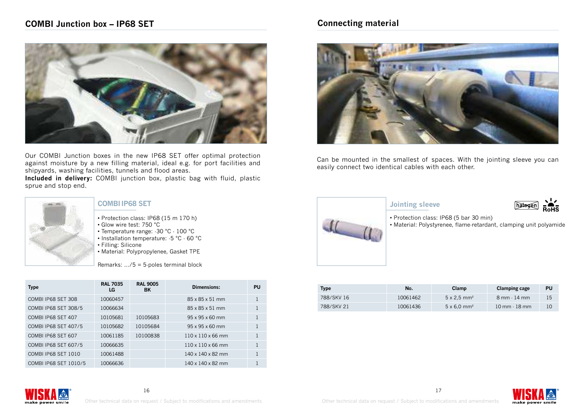

Our COMBI Junction boxes in the new IP68 SET offer optimal protection against moisture by a new filling material, ideal e.g. for port facilities and shipyards, washing facilities, tunnels and flood areas.

**Included in delivery:** COMBI junction box, plastic bag with fluid, plastic sprue and stop end.



#### **COMBIIP68 SET**

- Protection class: IP68 (15 m 170 h)
- Glow wire test: 750 °C
- Temperature range: -30 °C 100 °C
- Installation temperature: -5 °C 60 °C
- Filling: Silicone
- Material: Polypropylenee, Gasket TPE

Remarks: .../5 = 5-poles terminal block

| <b>Type</b>                | <b>RAL 7035</b><br>LG | <b>RAL 9005</b><br><b>BK</b> | Dimensions:                   | PU           |
|----------------------------|-----------------------|------------------------------|-------------------------------|--------------|
| COMBI IP68 SET 308         | 10060457              |                              | 85 x 85 x 51 mm               | 1            |
| COMBI IP68 SET 308/5       | 10066634              |                              | 85 x 85 x 51 mm               | $\mathbf{1}$ |
| COMBI IP68 SET 407         | 10105681              | 10105683                     | $95 \times 95 \times 60$ mm   | $\mathbf{1}$ |
| COMBI IP68 SET 407/5       | 10105682              | 10105684                     | $95 \times 95 \times 60$ mm   | $\mathbf{1}$ |
| COMBI IP68 SET 607         | 10061185              | 10100838                     | $110 \times 110 \times 66$ mm | $\mathbf{1}$ |
| COMBI IP68 SET 607/5       | 10066635              |                              | $110 \times 110 \times 66$ mm | $\mathbf{1}$ |
| <b>COMBI IP68 SET 1010</b> | 10061488              |                              | 140 x 140 x 82 mm             | $\mathbf{1}$ |
| COMBI IP68 SET 1010/5      | 10066636              |                              | 140 x 140 x 82 mm             |              |

# **Connecting material**



Can be mounted in the smallest of spaces. With the jointing sleeve you can easily connect two identical cables with each other.



#### **Jointing sleeve**



• Protection class: IP68 (5 bar 30 min)

• Material: Polystyrenee, flame-retardant, clamping unit polyamide

| Type       | No.      | Clamp                          | <b>Clamping cage</b>                | PU |
|------------|----------|--------------------------------|-------------------------------------|----|
| 788/SKV 16 | 10061462 | $5 \times 2.5$ mm <sup>2</sup> | $8 \text{ mm} \cdot 14 \text{ mm}$  | 15 |
| 788/SKV 21 | 10061436 | $5 \times 6.0$ mm <sup>2</sup> | $10 \text{ mm} \cdot 18 \text{ mm}$ | 10 |



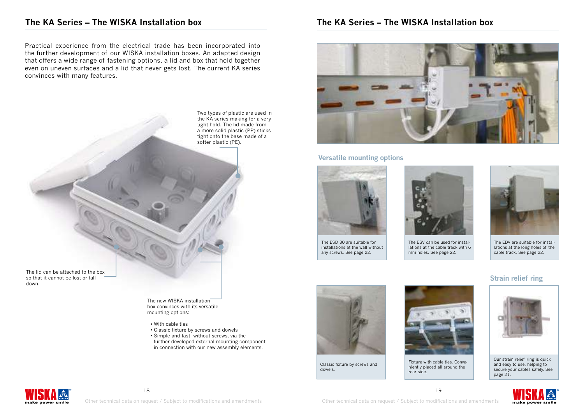## **The KA Series – The WISKA Installation box**

Practical experience from the electrical trade has been incorporated into the further development of our WISKA installation boxes. An adapted design that offers a wide range of fastening options, a lid and box that hold together even on uneven surfaces and a lid that never gets lost. The current KA series convinces with many features.

> Two types of plastic are used in the KA series making for a very tight hold. The lid made from a more solid plastic (PP) sticks tight onto the base made of a softer plastic (PE).

The lid can be attached to the box so that it cannot be lost or fall down.

> The new WISKA installation box convinces with its versatile mounting options:

- With cable ties
- Classic fixture by screws and dowels
- Simple and fast, without screws, via the further developed external mounting component in connection with our new assembly elements.

# **The KA Series – The WISKA Installation box**



#### **Versatile mounting options**



The ESD 30 are suitable for installations at the wall without any screws. See page 22.

Classic fixture by screws and

dowels.



The ESV can be used for installations at the cable track with 6 mm holes. See page 22.



The EDV are suitable for installations at the long holes of the cable track. See page 22.

#### **Strain relief ring**



Our strain relief ring is quick and easy to use, helping to secure your cables safely. See page 21.





Fixture with cable ties. Conveniently placed all around the



rear side.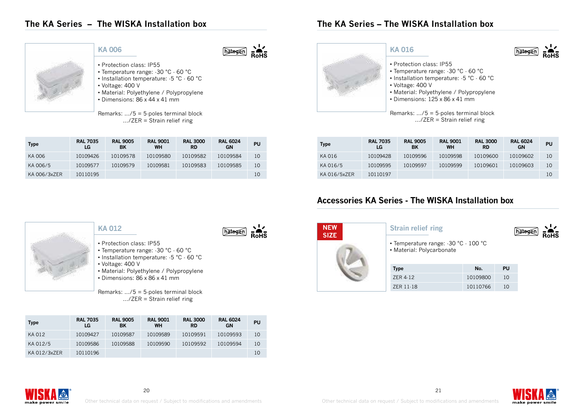# **The KA Series – The WISKA Installation box**



#### **KA 006**

hatogen

- Protection class: IP55
- Temperature range: -30 °C 60 °C
- Installation temperature: -5 °C 60 °C
- Voltage: 400 V
- Material: Polyethylene / Polypropylene • Dimensions: 86 x 44 x 41 mm
- 

Remarks: .../5 = 5-poles terminal block .../ZER = Strain relief ring

| <b>Type</b>  | <b>RAL 7035</b><br>LG | <b>RAL 9005</b><br>BK | <b>RAL 9001</b><br><b>WH</b> | <b>RAL 3000</b><br><b>RD</b> | <b>RAL 6024</b><br>GN | PU |
|--------------|-----------------------|-----------------------|------------------------------|------------------------------|-----------------------|----|
| KA 006       | 10109426              | 10109578              | 10109580                     | 10109582                     | 10109584              | 10 |
| KA 006/5     | 10109577              | 10109579              | 10109581                     | 10109583                     | 10109585              | 10 |
| KA 006/3xZER | 10110195              |                       |                              |                              |                       | 10 |

# **KA 016**

# • Protection class: IP55

**The KA Series – The WISKA Installation box**

- Temperature range: -30 °C 60 °C
- Installation temperature: -5 °C 60 °C
- Voltage: 400 V
- Material: Polyethylene / Polypropylene
- $\cdot$  Dimensions: 125 x 86 x 41 mm

Remarks: .../5 = 5-poles terminal block .../ZER = Strain relief ring

| <b>Type</b>  | <b>RAL 7035</b><br>LG | <b>RAL 9005</b><br>BK | <b>RAL 9001</b><br>WH | <b>RAL 3000</b><br><b>RD</b> | <b>RAL 6024</b><br>GN | PU |
|--------------|-----------------------|-----------------------|-----------------------|------------------------------|-----------------------|----|
| KA 016       | 10109428              | 10109596              | 10109598              | 10109600                     | 10109602              | 10 |
| KA 016/5     | 10109595              | 10109597              | 10109599              | 10109601                     | 10109603              | 10 |
| KA 016/5xZER | 10110197              |                       |                       |                              |                       | 10 |

# **Accessories KA Series - The WISKA Installation box**



- Protection class: IP55
- Temperature range: -30 °C 60 °C
- Installation temperature: -5 °C 60 °C
	- Voltage: 400 V
	- Material: Polyethylene / Polypropylene
	- Dimensions: 86 x 86 x 41 mm

Remarks: .../5 = 5-poles terminal block .../ZER = Strain relief ring

| <b>Type</b>  | <b>RAL 7035</b><br>LG | <b>RAL 9005</b><br>BK | <b>RAL 9001</b><br><b>WH</b> | <b>RAL 3000</b><br><b>RD</b> | <b>RAL 6024</b><br>GN | PU |
|--------------|-----------------------|-----------------------|------------------------------|------------------------------|-----------------------|----|
| KA 012       | 10109427              | 10109587              | 10109589                     | 10109591                     | 10109593              | 10 |
| KA 012/5     | 10109586              | 10109588              | 10109590                     | 10109592                     | 10109594              | 10 |
| KA 012/3xZER | 10110196              |                       |                              |                              |                       | 10 |



#### **Strain relief ring**



lhatora

• Temperature range: -30 °C - 100 °C • Material: Polycarbonate

| <b>Type</b> | No.      | PU |
|-------------|----------|----|
| 7FR 4-12    | 10109800 | 10 |
| ZER 11-18   | 10110766 | 10 |





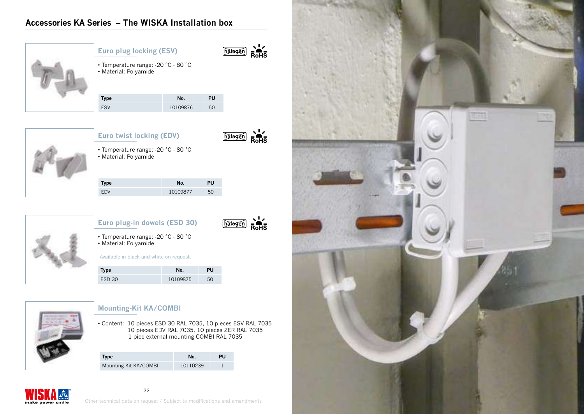# **Accessories KA Series – The WISKA Installation box**



|  |  |  | <b>Euro plug locking (ESV)</b> |  |
|--|--|--|--------------------------------|--|
|--|--|--|--------------------------------|--|



• Temperature range: -20 °C - 80 °C • Material: Polyamide

| <b>Type</b> | No.      | PU |
|-------------|----------|----|
| ESV         | 10109876 | 50 |



**Euro twist locking (EDV)**



• Temperature range: -20 °C - 80 °C • Material: Polyamide

| <b>Type</b> | No.      | PU |
|-------------|----------|----|
| <b>FDV</b>  | 10109877 | 50 |



# **Euro plug-in dowels (ESD 30)**



• Temperature range: -20 °C - 80 °C • Material: Polyamide

Available in black and white on request.

| Type          | No.      | PU |
|---------------|----------|----|
| <b>ESD 30</b> | 10109875 | 50 |



make power smile

# **Mounting-Kit KA/COMBI**

• Content: 10 pieces ESD 30 RAL 7035, 10 pieces ESV RAL 7035 10 pieces EDV RAL 7035, 10 pieces ZER RAL 7035 1 pice external mounting COMBI RAL 7035

| Type                  | No.      | PU |
|-----------------------|----------|----|
| Mounting-Kit KA/COMBI | 10110239 |    |

Other technical data on request / Subject to modifications and amendments

22

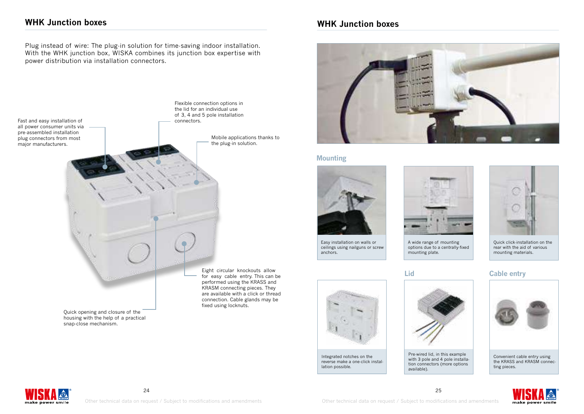# **WHK Junction boxes**

Plug instead of wire: The plug-in solution for time-saving indoor installation. With the WHK junction box, WISKA combines its junction box expertise with power distribution via installation connectors.



housing with the help of a practical snap-close mechanism.

for easy cable entry. This can be performed using the KRASS and KRASM connecting pieces. They are available with a click or thread connection. Cable glands may be

Flexible connection options in

# **WHK Junction boxes**



#### **Mounting**



Easy installation on walls or ceilings using nailguns or screw anchors.

Integrated notches on the reverse make a one-click instal-

lation possible.



A wide range of mounting options due to a centrally-fixed mounting plate.



with 3 pole and 4 pole installation connectors (more options available).



Quick click-installation on the rear with the aid of various mounting materials.

#### **Lid Cable entry**



ting pieces.



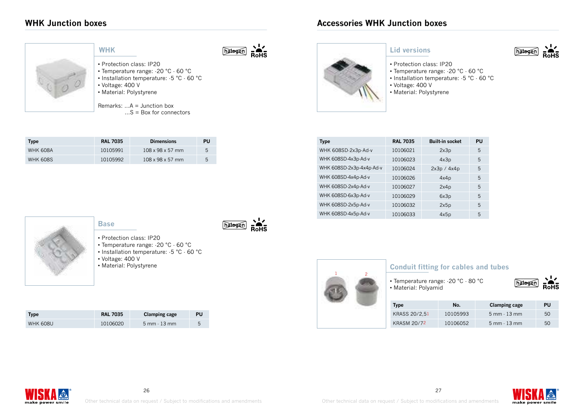# **WHK Junction boxes**

| ٠ |   |  |  |
|---|---|--|--|
|   |   |  |  |
|   |   |  |  |
|   | ۱ |  |  |

#### **WHK**

• Voltage: 400 V • Material: Polystyrene

**Type RAL 7035 Dimensions PU** WHK 608A 10105991 108 x 98 x 57 mm 5 WHK 608S 10105992 108 x 98 x 57 mm 5

• Protection class: IP20

Remarks: ...A = Junction box

• Temperature range: -20 °C - 60 °C • Installation temperature: -5 °C - 60 °C

...S = Box for connectors

hatogen

hatogen

#### **Lid versions**

- Protection class: IP20 • Temperature range: -20 °C - 60 °C
- Installation temperature: -5 °C 60 °C
- Voltage: 400 V
- Material: Polystyrene

| <b>Type</b>              | <b>RAL 7035</b> | <b>Built-in socket</b> | PU |
|--------------------------|-----------------|------------------------|----|
| WHK 608SD-2x3p-Ad-v      | 10106021        | 2x3p                   | 5  |
| WHK 608SD-4x3p-Ad-v      | 10106023        | 4x3p                   | 5  |
| WHK 608SD-2x3p-4x4p-Ad-v | 10106024        | 2x3p / 4x4p            | 5  |
| WHK 608SD-4x4p-Ad-v      | 10106026        | 4x4p                   | 5  |
| WHK 608SD-2x4p-Ad-v      | 10106027        | 2x4p                   | 5  |
| WHK 608SD-6x3p-Ad-v      | 10106029        | 6x3p                   | 5  |
| WHK 608SD-2x5p-Ad-v      | 10106032        | 2x5p                   | 5  |
| WHK 608SD-4x5p-Ad-v      | 10106033        | 4x5p                   | 5  |



## **Base**

- Protection class: IP20
- Temperature range: -20 °C 60 °C
- Installation temperature: -5 °C 60 °C • Voltage: 400 V
- Material: Polystyrene

| Type            | <b>RAL 7035</b> | <b>Clamping cage</b>               | PU |
|-----------------|-----------------|------------------------------------|----|
| <b>WHK 608U</b> | 10106020        | $5 \text{ mm} \cdot 13 \text{ mm}$ |    |



### **Conduit fitting for cables and tubes**

• Temperature range: -20 °C - 80 °C • Material: Polyamid



hatoge

| <b>Type</b>        | No.      | <b>Clamping cage</b>               | PU |
|--------------------|----------|------------------------------------|----|
| KRASS 20/2.51      | 10105993 | $5 \text{ mm} \cdot 13 \text{ mm}$ | 50 |
| <b>KRASM 20/72</b> | 10106052 | $5 \text{ mm} \cdot 13 \text{ mm}$ | 50 |